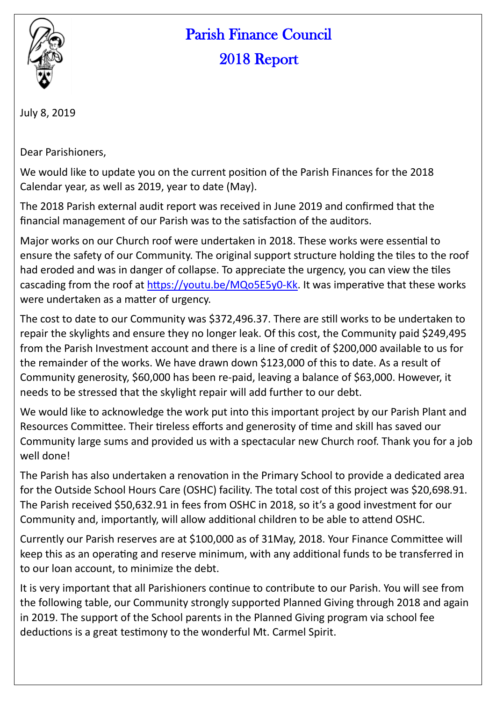

## Parish Finance Council 2018 Report

July 8, 2019

Dear Parishioners,

We would like to update you on the current position of the Parish Finances for the 2018 Calendar year, as well as 2019, year to date (May).

The 2018 Parish external audit report was received in June 2019 and confirmed that the financial management of our Parish was to the satisfaction of the auditors.

Major works on our Church roof were undertaken in 2018. These works were essential to ensure the safety of our Community. The original support structure holding the tiles to the roof had eroded and was in danger of collapse. To appreciate the urgency, you can view the tiles cascading from the roof at [https://youtu.be/MQo5E5y0](https://youtu.be/MQo5E5y0-Kk)-Kk. It was imperative that these works were undertaken as a matter of urgency.

The cost to date to our Community was \$372,496.37. There are still works to be undertaken to repair the skylights and ensure they no longer leak. Of this cost, the Community paid \$249,495 from the Parish Investment account and there is a line of credit of \$200,000 available to us for the remainder of the works. We have drawn down \$123,000 of this to date. As a result of Community generosity, \$60,000 has been re-paid, leaving a balance of \$63,000. However, it needs to be stressed that the skylight repair will add further to our debt.

We would like to acknowledge the work put into this important project by our Parish Plant and Resources Committee. Their tireless efforts and generosity of time and skill has saved our Community large sums and provided us with a spectacular new Church roof. Thank you for a job well done!

The Parish has also undertaken a renovation in the Primary School to provide a dedicated area for the Outside School Hours Care (OSHC) facility. The total cost of this project was \$20,698.91. The Parish received \$50,632.91 in fees from OSHC in 2018, so it's a good investment for our Community and, importantly, will allow additional children to be able to attend OSHC.

Currently our Parish reserves are at \$100,000 as of 31May, 2018. Your Finance Committee will keep this as an operating and reserve minimum, with any additional funds to be transferred in to our loan account, to minimize the debt.

It is very important that all Parishioners continue to contribute to our Parish. You will see from the following table, our Community strongly supported Planned Giving through 2018 and again in 2019. The support of the School parents in the Planned Giving program via school fee deductions is a great testimony to the wonderful Mt. Carmel Spirit.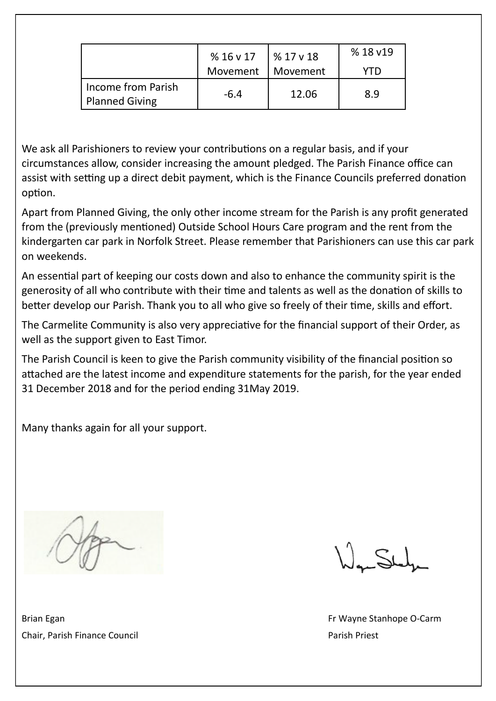|                                             | %16v17   | % 17 v 18       | %18 v19 |
|---------------------------------------------|----------|-----------------|---------|
|                                             | Movement | <b>Movement</b> | 7TD)    |
| Income from Parish<br><b>Planned Giving</b> | $-6.4$   | 12.06           | 8.9     |

We ask all Parishioners to review your contributions on a regular basis, and if your circumstances allow, consider increasing the amount pledged. The Parish Finance office can assist with setting up a direct debit payment, which is the Finance Councils preferred donation option.

Apart from Planned Giving, the only other income stream for the Parish is any profit generated from the (previously mentioned) Outside School Hours Care program and the rent from the kindergarten car park in Norfolk Street. Please remember that Parishioners can use this car park on weekends.

An essential part of keeping our costs down and also to enhance the community spirit is the generosity of all who contribute with their time and talents as well as the donation of skills to better develop our Parish. Thank you to all who give so freely of their time, skills and effort.

The Carmelite Community is also very appreciative for the financial support of their Order, as well as the support given to East Timor.

The Parish Council is keen to give the Parish community visibility of the financial position so attached are the latest income and expenditure statements for the parish, for the year ended 31 December 2018 and for the period ending 31May 2019.

Many thanks again for all your support.

Brian Egan Fr Wayne Stanhope O-Carm Chair, Parish Finance Council **Parish Priest** Parish Priest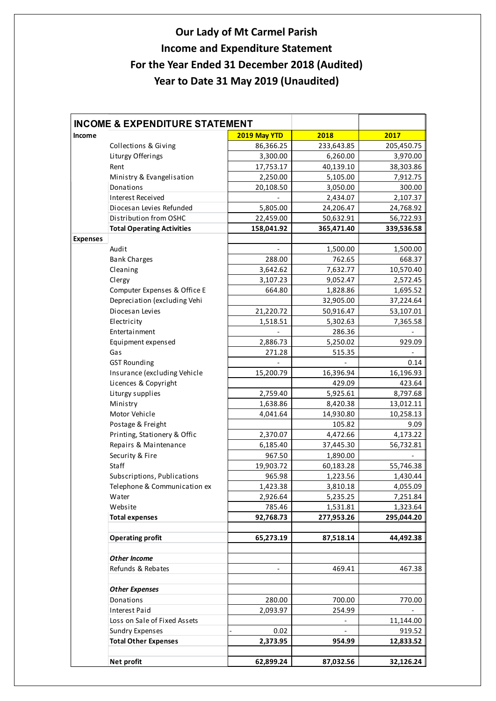## **Our Lady of Mt Carmel Parish Income and Expenditure Statement For the Year Ended 31 December 2018 (Audited) Year to Date 31 May 2019 (Unaudited)**

| <b>INCOME &amp; EXPENDITURE STATEMENT</b> |                                   |              |                              |            |
|-------------------------------------------|-----------------------------------|--------------|------------------------------|------------|
| Income                                    |                                   | 2019 May YTD | 2018                         | 2017       |
|                                           | Collections & Giving              | 86,366.25    | 233,643.85                   | 205,450.75 |
|                                           | Liturgy Offerings                 | 3,300.00     | 6,260.00                     | 3,970.00   |
|                                           | Rent                              | 17,753.17    | 40,139.10                    | 38,303.86  |
|                                           | Ministry & Evangelisation         | 2,250.00     | 5,105.00                     | 7,912.75   |
|                                           | Donations                         | 20,108.50    | 3,050.00                     | 300.00     |
|                                           | Interest Received                 |              | 2,434.07                     | 2,107.37   |
|                                           | Diocesan Levies Refunded          | 5,805.00     | 24,206.47                    | 24,768.92  |
|                                           | Distribution from OSHC            | 22,459.00    | 50,632.91                    | 56,722.93  |
|                                           | <b>Total Operating Activities</b> | 158,041.92   | 365,471.40                   | 339,536.58 |
| <b>Expenses</b>                           |                                   |              |                              |            |
|                                           | Audit                             |              | 1,500.00                     | 1,500.00   |
|                                           | <b>Bank Charges</b>               | 288.00       | 762.65                       | 668.37     |
|                                           | Cleaning                          | 3,642.62     | 7,632.77                     | 10,570.40  |
|                                           | Clergy                            | 3,107.23     | 9,052.47                     | 2,572.45   |
|                                           | Computer Expenses & Office E      | 664.80       | 1,828.86                     | 1,695.52   |
|                                           | Depreciation (excluding Vehi      |              | 32,905.00                    | 37,224.64  |
|                                           | Diocesan Levies                   | 21,220.72    | 50,916.47                    | 53,107.01  |
|                                           | Electricity                       | 1,518.51     | 5,302.63                     | 7,365.58   |
|                                           | Entertainment                     |              | 286.36                       |            |
|                                           | Equipment expensed                | 2,886.73     | 5,250.02                     | 929.09     |
|                                           | Gas                               | 271.28       | 515.35                       |            |
|                                           | <b>GST Rounding</b>               |              |                              | 0.14       |
|                                           | Insurance (excluding Vehicle      | 15,200.79    | 16,396.94                    | 16,196.93  |
|                                           | Licences & Copyright              |              | 429.09                       | 423.64     |
|                                           | Liturgy supplies                  | 2,759.40     | 5,925.61                     | 8,797.68   |
|                                           | Ministry                          | 1,638.86     | 8,420.38                     | 13,012.11  |
|                                           | Motor Vehicle                     | 4,041.64     | 14,930.80                    | 10,258.13  |
|                                           | Postage & Freight                 |              | 105.82                       | 9.09       |
|                                           | Printing, Stationery & Offic      | 2,370.07     | 4,472.66                     | 4,173.22   |
|                                           | Repairs & Maintenance             | 6,185.40     | 37,445.30                    | 56,732.81  |
|                                           | Security & Fire                   | 967.50       | 1,890.00                     |            |
|                                           | <b>Staff</b>                      | 19,903.72    | 60,183.28                    | 55,746.38  |
|                                           | Subscriptions, Publications       | 965.98       | 1,223.56                     | 1,430.44   |
|                                           | Telephone & Communication ex      | 1,423.38     | 3,810.18                     | 4,055.09   |
|                                           | Water                             | 2,926.64     | 5,235.25                     | 7,251.84   |
|                                           | Website                           | 785.46       | 1,531.81                     | 1,323.64   |
|                                           | <b>Total expenses</b>             | 92,768.73    | 277,953.26                   | 295,044.20 |
|                                           |                                   |              |                              |            |
|                                           | <b>Operating profit</b>           | 65,273.19    | 87,518.14                    | 44,492.38  |
|                                           |                                   |              |                              |            |
|                                           | Other Income                      |              |                              |            |
|                                           | Refunds & Rebates                 |              | 469.41                       | 467.38     |
|                                           |                                   |              |                              |            |
|                                           | <b>Other Expenses</b>             |              |                              |            |
|                                           | Donations                         | 280.00       | 700.00                       | 770.00     |
|                                           | Interest Paid                     | 2,093.97     | 254.99                       |            |
|                                           | Loss on Sale of Fixed Assets      |              | $\qquad \qquad \blacksquare$ | 11,144.00  |
|                                           | <b>Sundry Expenses</b>            | 0.02         |                              | 919.52     |
|                                           | <b>Total Other Expenses</b>       | 2,373.95     | 954.99                       | 12,833.52  |
|                                           |                                   |              |                              |            |
|                                           | Net profit                        | 62,899.24    | 87,032.56                    | 32,126.24  |